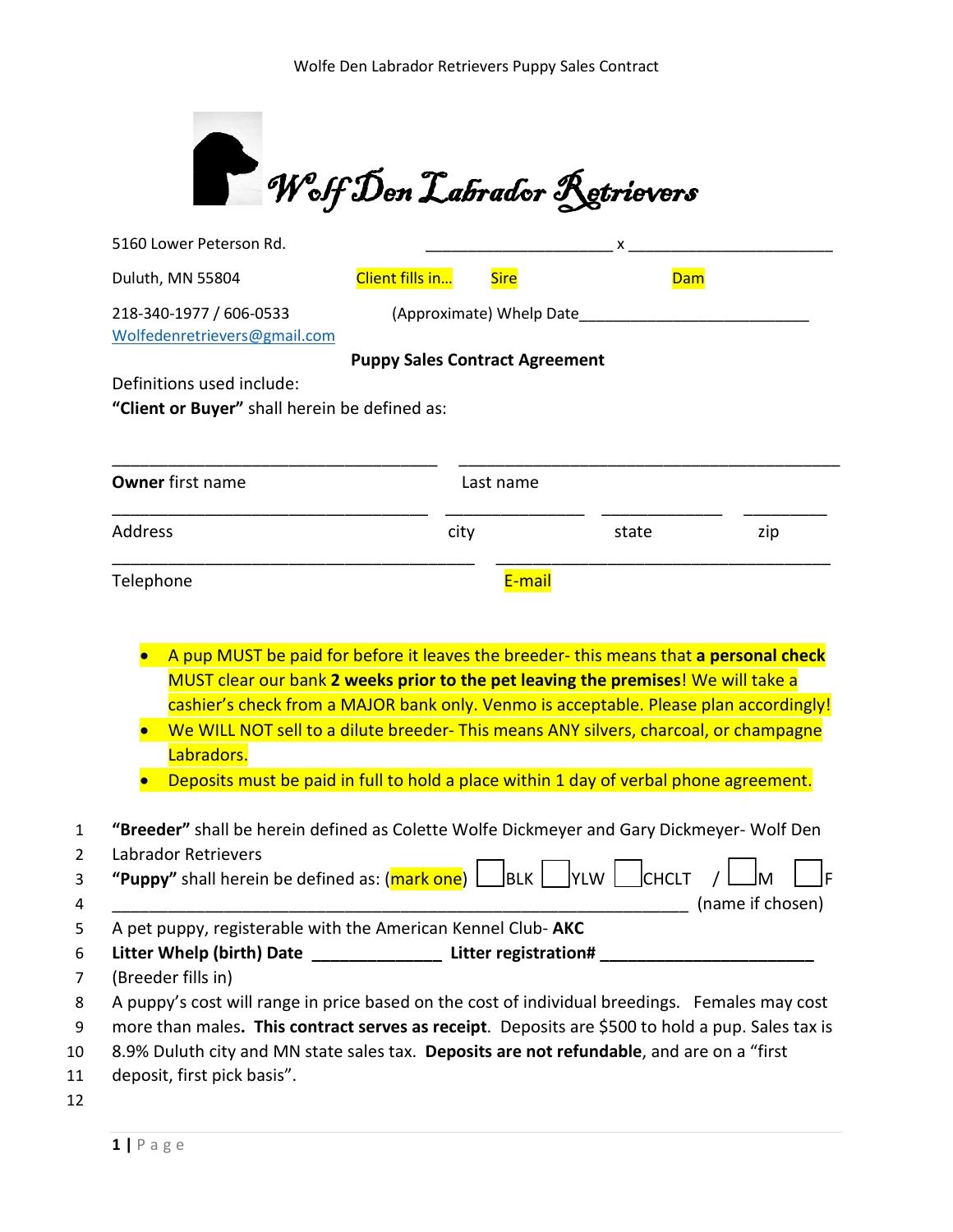

| Duluth, MN 55804                                                                                                                                                                                                                                                                                                                                                                                    | Client fills in                                                                                                                                                                                                                                                                                                                                            | <b>Sire</b>              | <b>Dam</b> |                  |
|-----------------------------------------------------------------------------------------------------------------------------------------------------------------------------------------------------------------------------------------------------------------------------------------------------------------------------------------------------------------------------------------------------|------------------------------------------------------------------------------------------------------------------------------------------------------------------------------------------------------------------------------------------------------------------------------------------------------------------------------------------------------------|--------------------------|------------|------------------|
| 218-340-1977 / 606-0533<br>Wolfedenretrievers@gmail.com                                                                                                                                                                                                                                                                                                                                             |                                                                                                                                                                                                                                                                                                                                                            | (Approximate) Whelp Date |            |                  |
|                                                                                                                                                                                                                                                                                                                                                                                                     | <b>Puppy Sales Contract Agreement</b>                                                                                                                                                                                                                                                                                                                      |                          |            |                  |
| Definitions used include:                                                                                                                                                                                                                                                                                                                                                                           |                                                                                                                                                                                                                                                                                                                                                            |                          |            |                  |
| "Client or Buyer" shall herein be defined as:                                                                                                                                                                                                                                                                                                                                                       |                                                                                                                                                                                                                                                                                                                                                            |                          |            |                  |
| <b>Owner</b> first name                                                                                                                                                                                                                                                                                                                                                                             |                                                                                                                                                                                                                                                                                                                                                            | Last name                |            |                  |
| Address                                                                                                                                                                                                                                                                                                                                                                                             | city                                                                                                                                                                                                                                                                                                                                                       |                          | state      | zip              |
|                                                                                                                                                                                                                                                                                                                                                                                                     |                                                                                                                                                                                                                                                                                                                                                            | E-mail                   |            |                  |
|                                                                                                                                                                                                                                                                                                                                                                                                     |                                                                                                                                                                                                                                                                                                                                                            |                          |            |                  |
|                                                                                                                                                                                                                                                                                                                                                                                                     | A pup MUST be paid for before it leaves the breeder-this means that a personal check<br>MUST clear our bank 2 weeks prior to the pet leaving the premises! We will take a<br>cashier's check from a MAJOR bank only. Venmo is acceptable. Please plan accordingly!<br>We WILL NOT sell to a dilute breeder- This means ANY silvers, charcoal, or champagne |                          |            |                  |
| Labradors.                                                                                                                                                                                                                                                                                                                                                                                          |                                                                                                                                                                                                                                                                                                                                                            |                          |            |                  |
|                                                                                                                                                                                                                                                                                                                                                                                                     | Deposits must be paid in full to hold a place within 1 day of verbal phone agreement.                                                                                                                                                                                                                                                                      |                          |            |                  |
|                                                                                                                                                                                                                                                                                                                                                                                                     |                                                                                                                                                                                                                                                                                                                                                            |                          |            |                  |
|                                                                                                                                                                                                                                                                                                                                                                                                     |                                                                                                                                                                                                                                                                                                                                                            |                          |            |                  |
|                                                                                                                                                                                                                                                                                                                                                                                                     |                                                                                                                                                                                                                                                                                                                                                            |                          |            | (name if chosen) |
|                                                                                                                                                                                                                                                                                                                                                                                                     |                                                                                                                                                                                                                                                                                                                                                            |                          |            |                  |
| Telephone<br>"Breeder" shall be herein defined as Colette Wolfe Dickmeyer and Gary Dickmeyer- Wolf Den<br>Labrador Retrievers<br>"Puppy" shall herein be defined as: $(\frac{mark\ one}{\text{one}})$   BLK   YLW   CHCLT<br>A pet puppy, registerable with the American Kennel Club-AKC<br>Litter Whelp (birth) Date _________________ Litter registration# ________________<br>(Breeder fills in) |                                                                                                                                                                                                                                                                                                                                                            |                          |            |                  |

- 10 8.9% Duluth city and MN state sales tax. **Deposits are not refundable**, and are on a "first
- 11 deposit, first pick basis".
- 12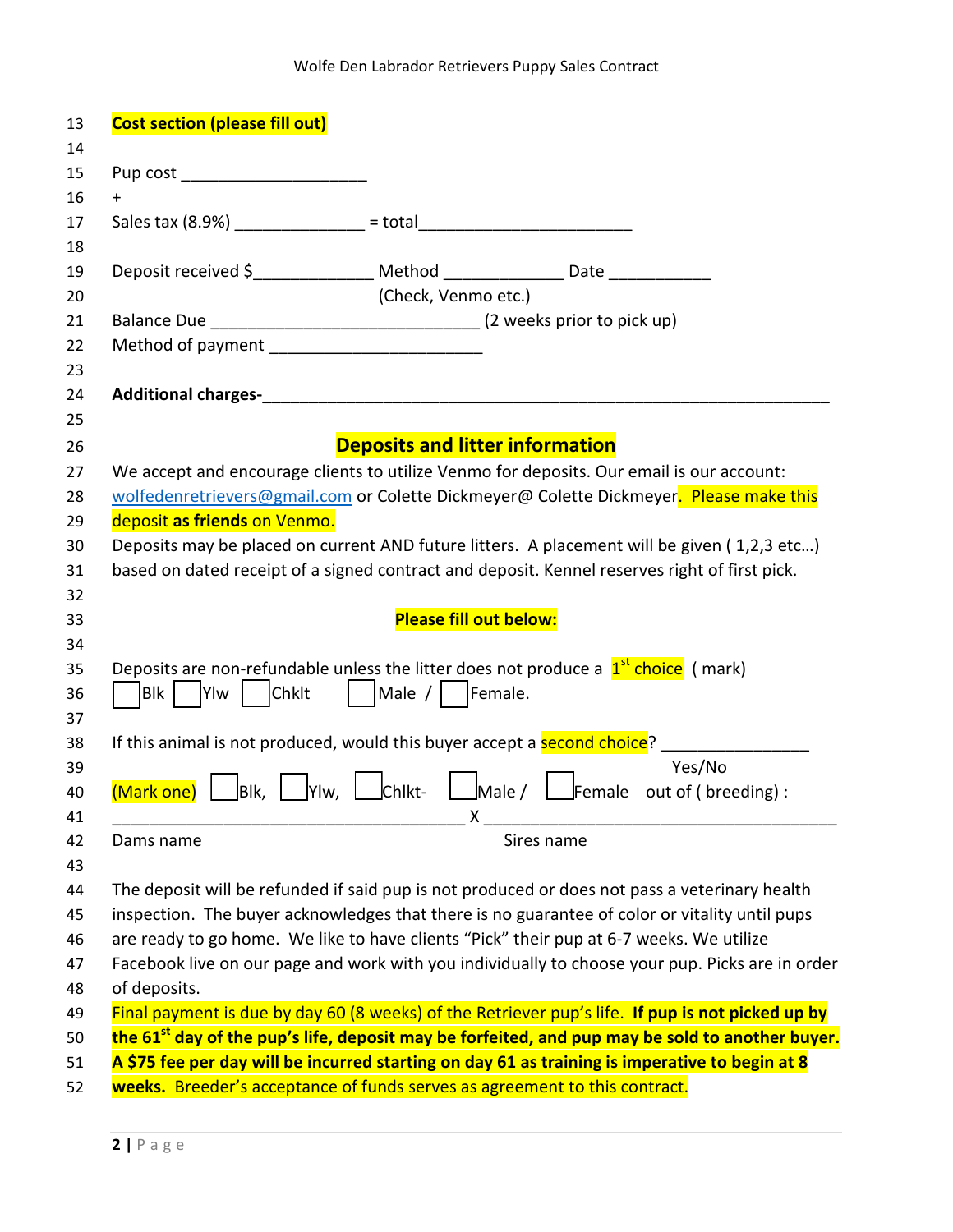| <b>Cost section (please fill out)</b>                                                                            |                                        |            |        |
|------------------------------------------------------------------------------------------------------------------|----------------------------------------|------------|--------|
|                                                                                                                  |                                        |            |        |
| Pup cost ________________________                                                                                |                                        |            |        |
| $\ddagger$                                                                                                       |                                        |            |        |
|                                                                                                                  |                                        |            |        |
|                                                                                                                  |                                        |            |        |
| Deposit received \$________________ Method _______________ Date _____________                                    |                                        |            |        |
|                                                                                                                  | (Check, Venmo etc.)                    |            |        |
|                                                                                                                  |                                        |            |        |
|                                                                                                                  |                                        |            |        |
|                                                                                                                  |                                        |            |        |
|                                                                                                                  |                                        |            |        |
|                                                                                                                  |                                        |            |        |
|                                                                                                                  | <b>Deposits and litter information</b> |            |        |
| We accept and encourage clients to utilize Venmo for deposits. Our email is our account:                         |                                        |            |        |
| wolfedenretrievers@gmail.com or Colette Dickmeyer@ Colette Dickmeyer. Please make this                           |                                        |            |        |
| deposit as friends on Venmo.                                                                                     |                                        |            |        |
| Deposits may be placed on current AND future litters. A placement will be given (1,2,3 etc)                      |                                        |            |        |
| based on dated receipt of a signed contract and deposit. Kennel reserves right of first pick.                    |                                        |            |        |
|                                                                                                                  |                                        |            |        |
|                                                                                                                  | <b>Please fill out below:</b>          |            |        |
|                                                                                                                  |                                        |            |        |
| Deposits are non-refundable unless the litter does not produce a $1st$ choice (mark)                             |                                        |            |        |
| Blk   Ylw<br>$ $ $ $ Chklt                                                                                       | Male /     Female.                     |            |        |
|                                                                                                                  |                                        |            |        |
| If this animal is not produced, would this buyer accept a second choice? _____________                           |                                        |            |        |
|                                                                                                                  |                                        |            | Yes/No |
| <b>(Mark one)</b> Blk,   Ylw,   Chikt-   Male /   Female out of (breeding):                                      |                                        |            |        |
|                                                                                                                  | Χ                                      |            |        |
| Dams name                                                                                                        |                                        | Sires name |        |
|                                                                                                                  |                                        |            |        |
| The deposit will be refunded if said pup is not produced or does not pass a veterinary health                    |                                        |            |        |
| inspection. The buyer acknowledges that there is no guarantee of color or vitality until pups                    |                                        |            |        |
| are ready to go home. We like to have clients "Pick" their pup at 6-7 weeks. We utilize                          |                                        |            |        |
| Facebook live on our page and work with you individually to choose your pup. Picks are in order                  |                                        |            |        |
|                                                                                                                  |                                        |            |        |
| of deposits.<br>Final payment is due by day 60 (8 weeks) of the Retriever pup's life. If pup is not picked up by |                                        |            |        |
|                                                                                                                  |                                        |            |        |
| the 61 <sup>st</sup> day of the pup's life, deposit may be forfeited, and pup may be sold to another buyer.      |                                        |            |        |
| A \$75 fee per day will be incurred starting on day 61 as training is imperative to begin at 8                   |                                        |            |        |
| weeks. Breeder's acceptance of funds serves as agreement to this contract.                                       |                                        |            |        |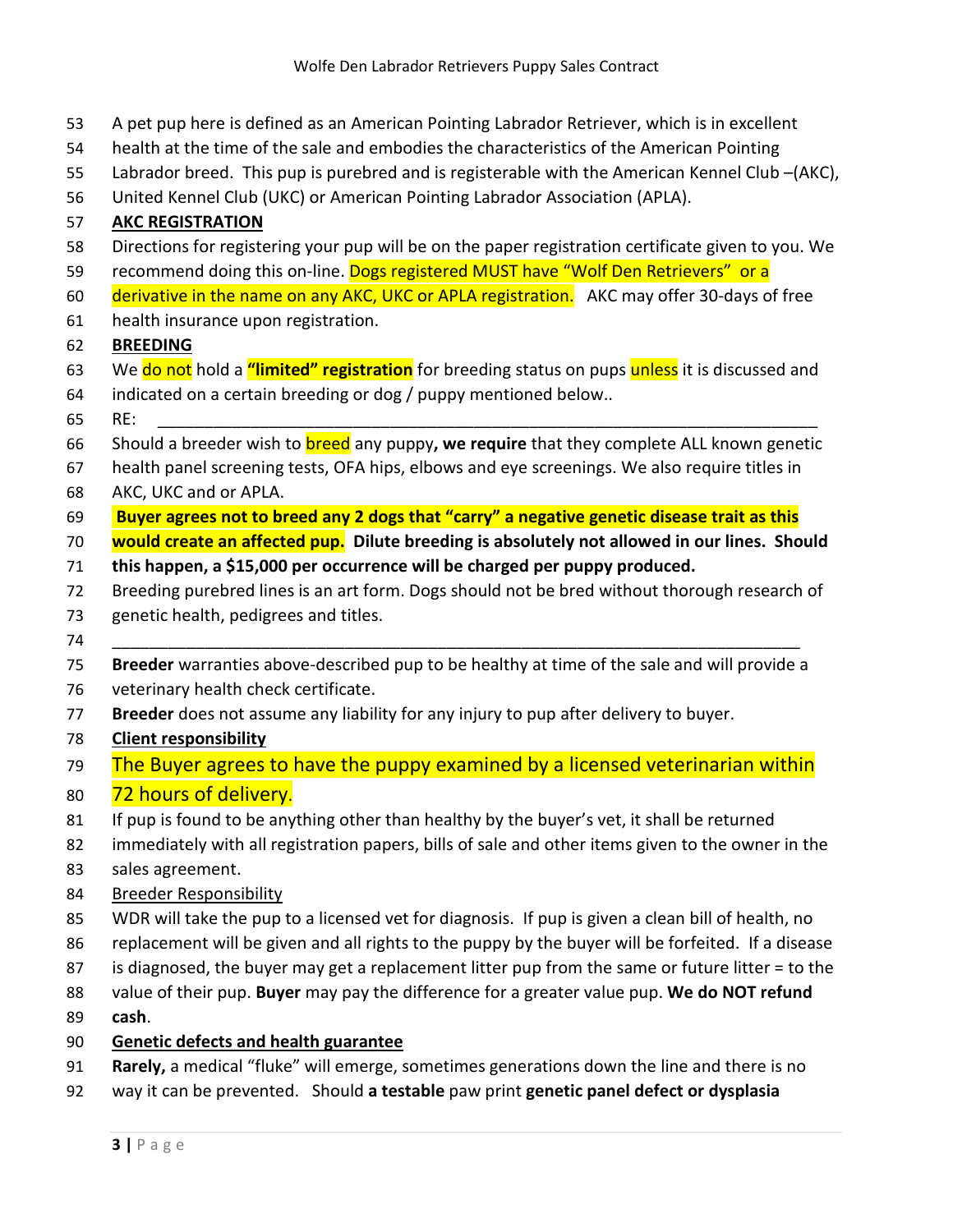- A pet pup here is defined as an American Pointing Labrador Retriever, which is in excellent
- health at the time of the sale and embodies the characteristics of the American Pointing
- Labrador breed. This pup is purebred and is registerable with the American Kennel Club –(AKC),
- United Kennel Club (UKC) or American Pointing Labrador Association (APLA).

# **AKC REGISTRATION**

- Directions for registering your pup will be on the paper registration certificate given to you. We
- 59 recommend doing this on-line. Dogs registered MUST have "Wolf Den Retrievers" or a
- 60 derivative in the name on any AKC, UKC or APLA registration. AKC may offer 30-days of free
- health insurance upon registration.

### **BREEDING**

- We do not hold a **"limited" registration** for breeding status on pups unless it is discussed and
- indicated on a certain breeding or dog / puppy mentioned below..
- RE: \_\_\_\_\_\_\_\_\_\_\_\_\_\_\_\_\_\_\_\_\_\_\_\_\_\_\_\_\_\_\_\_\_\_\_\_\_\_\_\_\_\_\_\_\_\_\_\_\_\_\_\_\_\_\_\_\_\_\_\_\_\_\_\_\_\_\_\_\_\_\_
- Should a breeder wish to breed any puppy**, we require** that they complete ALL known genetic
- health panel screening tests, OFA hips, elbows and eye screenings. We also require titles in
- AKC, UKC and or APLA.
- **Buyer agrees not to breed any 2 dogs that "carry" a negative genetic disease trait as this**
- **would create an affected pup. Dilute breeding is absolutely not allowed in our lines. Should**
- **this happen, a \$15,000 per occurrence will be charged per puppy produced.**
- Breeding purebred lines is an art form. Dogs should not be bred without thorough research of
- genetic health, pedigrees and titles.
- \_\_\_\_\_\_\_\_\_\_\_\_\_\_\_\_\_\_\_\_\_\_\_\_\_\_\_\_\_\_\_\_\_\_\_\_\_\_\_\_\_\_\_\_\_\_\_\_\_\_\_\_\_\_\_\_\_\_\_\_\_\_\_\_\_\_\_\_\_\_\_\_\_\_
- **Breeder** warranties above-described pup to be healthy at time of the sale and will provide a
- veterinary health check certificate.
- **Breeder** does not assume any liability for any injury to pup after delivery to buyer.
- **Client responsibility**
- 79 The Buyer agrees to have the puppy examined by a licensed veterinarian within
- 80 72 hours of delivery.
- 81 If pup is found to be anything other than healthy by the buyer's vet, it shall be returned
- immediately with all registration papers, bills of sale and other items given to the owner in the
- sales agreement.
- Breeder Responsibility
- WDR will take the pup to a licensed vet for diagnosis. If pup is given a clean bill of health, no
- replacement will be given and all rights to the puppy by the buyer will be forfeited. If a disease
- is diagnosed, the buyer may get a replacement litter pup from the same or future litter = to the
- value of their pup. **Buyer** may pay the difference for a greater value pup. **We do NOT refund**
- **cash**.

## **Genetic defects and health guarantee**

- **Rarely,** a medical "fluke" will emerge, sometimes generations down the line and there is no
- way it can be prevented. Should **a testable** paw print **genetic panel defect or dysplasia**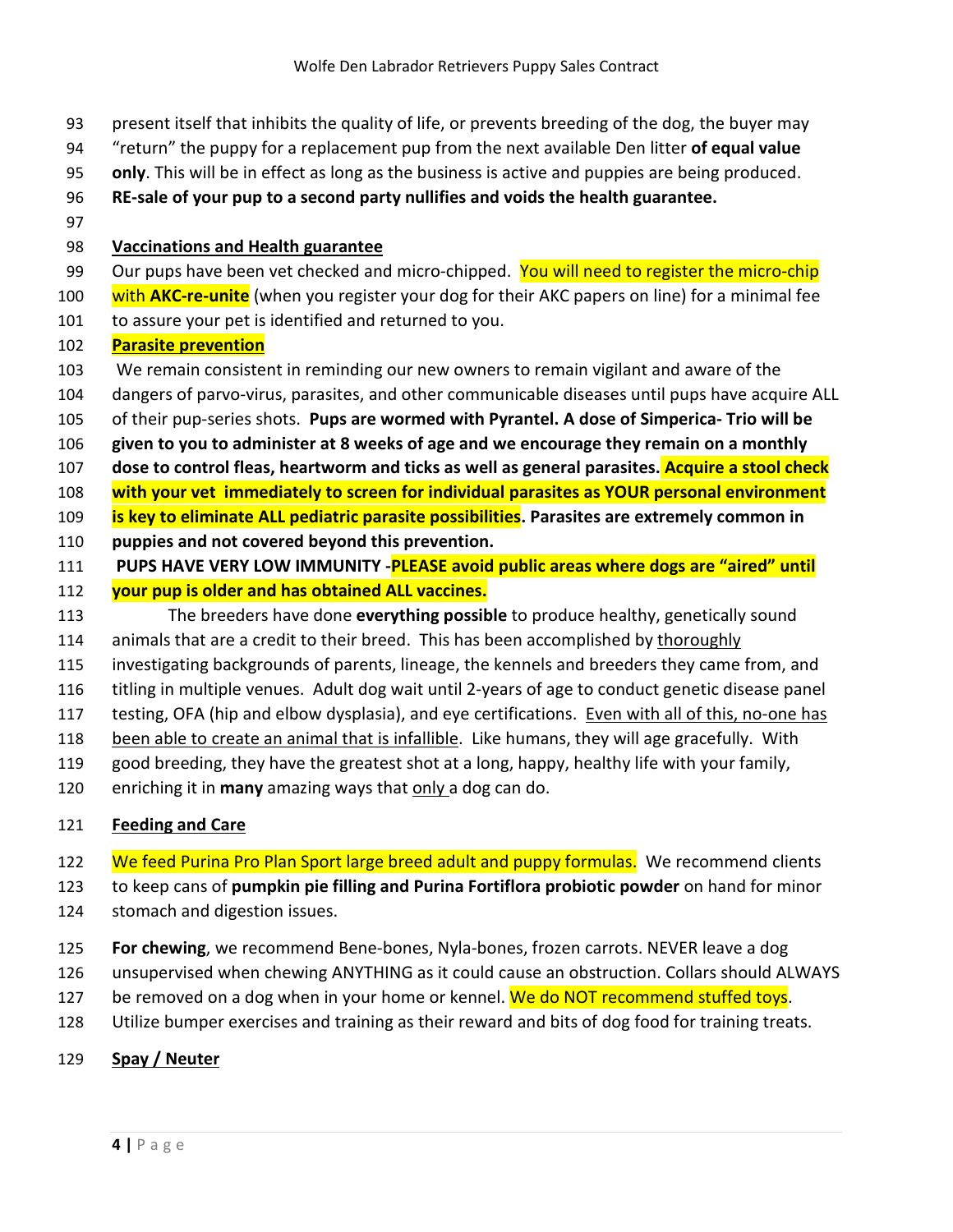- present itself that inhibits the quality of life, or prevents breeding of the dog, the buyer may
- "return" the puppy for a replacement pup from the next available Den litter **of equal value**
- **only**. This will be in effect as long as the business is active and puppies are being produced.
- **RE-sale of your pup to a second party nullifies and voids the health guarantee.**
- 

#### **Vaccinations and Health guarantee**

- 99 Our pups have been vet checked and micro-chipped. You will need to register the micro-chip
- with **AKC-re-unite** (when you register your dog for their AKC papers on line) for a minimal fee
- to assure your pet is identified and returned to you.

### **Parasite prevention**

- We remain consistent in reminding our new owners to remain vigilant and aware of the
- dangers of parvo-virus, parasites, and other communicable diseases until pups have acquire ALL
- of their pup-series shots. **Pups are wormed with Pyrantel. A dose of Simperica- Trio will be**
- **given to you to administer at 8 weeks of age and we encourage they remain on a monthly**
- **dose to control fleas, heartworm and ticks as well as general parasites. Acquire a stool check**
- **with your vet immediately to screen for individual parasites as YOUR personal environment**
- **is key to eliminate ALL pediatric parasite possibilities. Parasites are extremely common in**
- **puppies and not covered beyond this prevention.**
- **PUPS HAVE VERY LOW IMMUNITY -PLEASE avoid public areas where dogs are "aired" until**
- **your pup is older and has obtained ALL vaccines.**
- The breeders have done **everything possible** to produce healthy, genetically sound
- 114 animals that are a credit to their breed. This has been accomplished by thoroughly
- investigating backgrounds of parents, lineage, the kennels and breeders they came from, and
- titling in multiple venues. Adult dog wait until 2-years of age to conduct genetic disease panel
- 117 testing, OFA (hip and elbow dysplasia), and eye certifications. Even with all of this, no-one has
- been able to create an animal that is infallible. Like humans, they will age gracefully. With
- good breeding, they have the greatest shot at a long, happy, healthy life with your family,
- enriching it in **many** amazing ways that only a dog can do.

## **Feeding and Care**

- 122 We feed Purina Pro Plan Sport large breed adult and puppy formulas. We recommend clients
- to keep cans of **pumpkin pie filling and Purina Fortiflora probiotic powder** on hand for minor
- stomach and digestion issues.
- **For chewing**, we recommend Bene-bones, Nyla-bones, frozen carrots. NEVER leave a dog
- unsupervised when chewing ANYTHING as it could cause an obstruction. Collars should ALWAYS
- 127 be removed on a dog when in your home or kennel. We do NOT recommend stuffed toys.
- Utilize bumper exercises and training as their reward and bits of dog food for training treats.
- **Spay / Neuter**